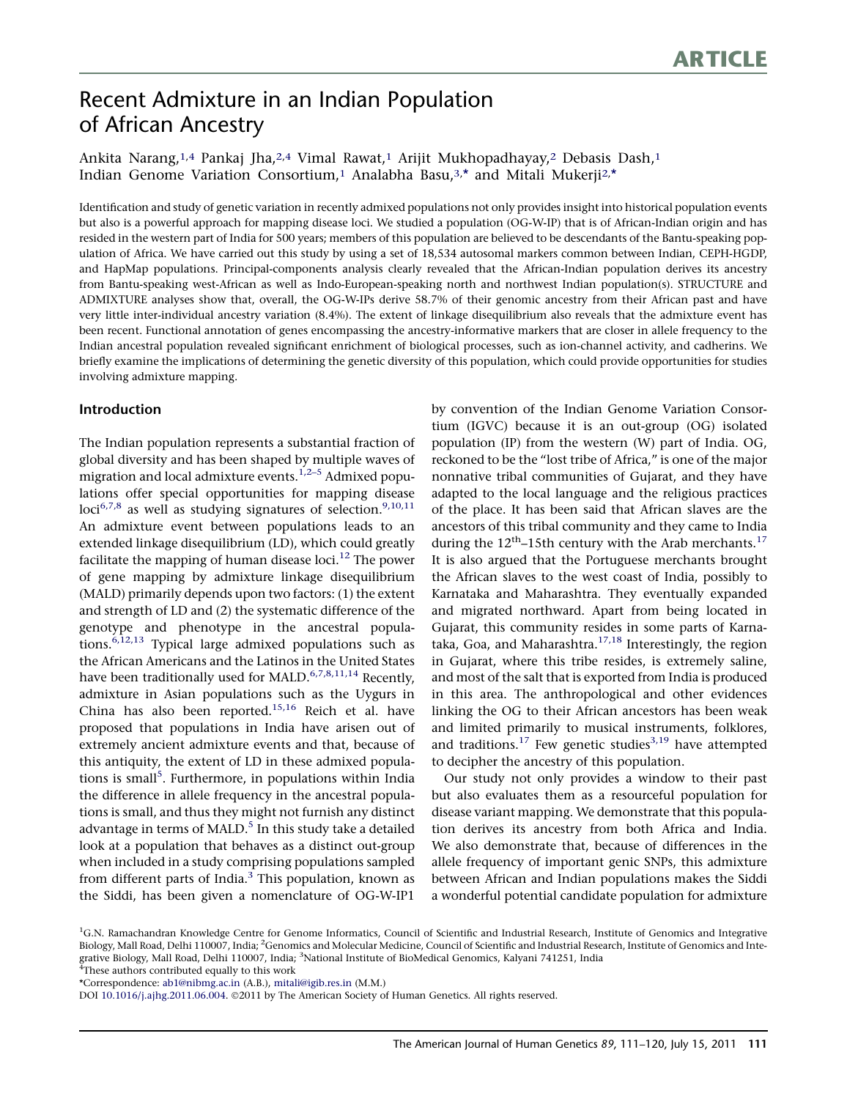# Recent Admixture in an Indian Population of African Ancestry

Ankita Narang,1,4 Pankaj Jha,2,4 Vimal Rawat,1 Arijit Mukhopadhayay,2 Debasis Dash,1 Indian Genome Variation Consortium,<sup>1</sup> Analabha Basu,<sup>3,\*</sup> and Mitali Mukerji<sup>2,\*</sup>

Identification and study of genetic variation in recently admixed populations not only provides insight into historical population events but also is a powerful approach for mapping disease loci. We studied a population (OG-W-IP) that is of African-Indian origin and has resided in the western part of India for 500 years; members of this population are believed to be descendants of the Bantu-speaking population of Africa. We have carried out this study by using a set of 18,534 autosomal markers common between Indian, CEPH-HGDP, and HapMap populations. Principal-components analysis clearly revealed that the African-Indian population derives its ancestry from Bantu-speaking west-African as well as Indo-European-speaking north and northwest Indian population(s). STRUCTURE and ADMIXTURE analyses show that, overall, the OG-W-IPs derive 58.7% of their genomic ancestry from their African past and have very little inter-individual ancestry variation (8.4%). The extent of linkage disequilibrium also reveals that the admixture event has been recent. Functional annotation of genes encompassing the ancestry-informative markers that are closer in allele frequency to the Indian ancestral population revealed significant enrichment of biological processes, such as ion-channel activity, and cadherins. We briefly examine the implications of determining the genetic diversity of this population, which could provide opportunities for studies involving admixture mapping.

#### Introduction

The Indian population represents a substantial fraction of global diversity and has been shaped by multiple waves of migration and local admixture events.<sup>1,2-5</sup> Admixed populations offer special opportunities for mapping disease  $loci^{6,7,8}$  as well as studying signatures of selection.<sup>9,10,11</sup> An admixture event between populations leads to an extended linkage disequilibrium (LD), which could greatly facilitate the mapping of human disease loci.<sup>12</sup> The power of gene mapping by admixture linkage disequilibrium (MALD) primarily depends upon two factors: (1) the extent and strength of LD and (2) the systematic difference of the genotype and phenotype in the ancestral populations.<sup>6,12,13</sup> Typical large admixed populations such as the African Americans and the Latinos in the United States have been traditionally used for MALD. $6,7,8,11,14$  Recently. admixture in Asian populations such as the Uygurs in China has also been reported.<sup>15,16</sup> Reich et al. have proposed that populations in India have arisen out of extremely ancient admixture events and that, because of this antiquity, the extent of LD in these admixed populations is small<sup>5</sup>. Furthermore, in populations within India the difference in allele frequency in the ancestral populations is small, and thus they might not furnish any distinct advantage in terms of MALD. $^5$  In this study take a detailed look at a population that behaves as a distinct out-group when included in a study comprising populations sampled from different parts of India.<sup>3</sup> This population, known as the Siddi, has been given a nomenclature of OG-W-IP1

by convention of the Indian Genome Variation Consortium (IGVC) because it is an out-group (OG) isolated population (IP) from the western (W) part of India. OG, reckoned to be the ''lost tribe of Africa,'' is one of the major nonnative tribal communities of Gujarat, and they have adapted to the local language and the religious practices of the place. It has been said that African slaves are the ancestors of this tribal community and they came to India during the  $12<sup>th</sup>$ –15th century with the Arab merchants.<sup>17</sup> It is also argued that the Portuguese merchants brought the African slaves to the west coast of India, possibly to Karnataka and Maharashtra. They eventually expanded and migrated northward. Apart from being located in Gujarat, this community resides in some parts of Karnataka, Goa, and Maharashtra.<sup>17,18</sup> Interestingly, the region in Gujarat, where this tribe resides, is extremely saline, and most of the salt that is exported from India is produced in this area. The anthropological and other evidences linking the OG to their African ancestors has been weak and limited primarily to musical instruments, folklores, and traditions.<sup>17</sup> Few genetic studies<sup>3,19</sup> have attempted to decipher the ancestry of this population.

Our study not only provides a window to their past but also evaluates them as a resourceful population for disease variant mapping. We demonstrate that this population derives its ancestry from both Africa and India. We also demonstrate that, because of differences in the allele frequency of important genic SNPs, this admixture between African and Indian populations makes the Siddi a wonderful potential candidate population for admixture

DOI 10.1016/j.ajhg.2011.06.004. ©2011 by The American Society of Human Genetics. All rights reserved.

<sup>&</sup>lt;sup>1</sup>G.N. Ramachandran Knowledge Centre for Genome Informatics, Council of Scientific and Industrial Research, Institute of Genomics and Integrative Biology, Mall Road, Delhi 110007, India; <sup>2</sup>Genomics and Molecular Medicine, Council of Scientific and Industrial Research, Institute of Genomics and Integrative Biology, Mall Road, Delhi 110007, India; <sup>3</sup>National Institute of BioMedical Genomics, Kalyani 741251, India<br><sup>4</sup>These authors contributed equally to this work

<sup>\*</sup>Correspondence: ab1@nibmg.ac.in (A.B.), mitali@igib.res.in (M.M.)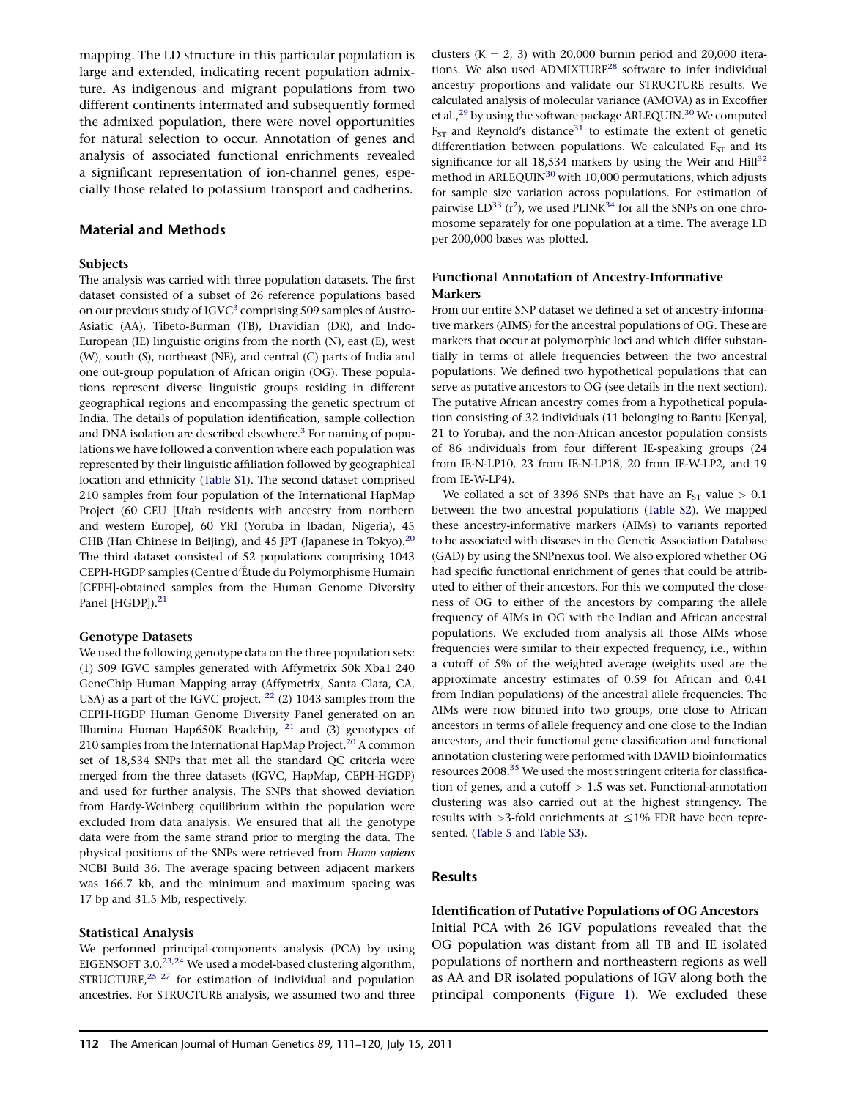mapping. The LD structure in this particular population is large and extended, indicating recent population admixture. As indigenous and migrant populations from two different continents intermated and subsequently formed the admixed population, there were novel opportunities for natural selection to occur. Annotation of genes and analysis of associated functional enrichments revealed a significant representation of ion-channel genes, especially those related to potassium transport and cadherins.

#### Material and Methods

#### Subjects

The analysis was carried with three population datasets. The first dataset consisted of a subset of 26 reference populations based on our previous study of IGV $C^3$  comprising 509 samples of Austro-Asiatic (AA), Tibeto-Burman (TB), Dravidian (DR), and Indo-European (IE) linguistic origins from the north (N), east (E), west (W), south (S), northeast (NE), and central (C) parts of India and one out-group population of African origin (OG). These populations represent diverse linguistic groups residing in different geographical regions and encompassing the genetic spectrum of India. The details of population identification, sample collection and DNA isolation are described elsewhere.<sup>3</sup> For naming of populations we have followed a convention where each population was represented by their linguistic affiliation followed by geographical location and ethnicity (Table S1). The second dataset comprised 210 samples from four population of the International HapMap Project (60 CEU [Utah residents with ancestry from northern and western Europe], 60 YRI (Yoruba in Ibadan, Nigeria), 45 CHB (Han Chinese in Beijing), and 45 JPT (Japanese in Tokyo). $^{20}$ The third dataset consisted of 52 populations comprising 1043 CEPH-HGDP samples (Centre d'E´tude du Polymorphisme Humain [CEPH]-obtained samples from the Human Genome Diversity Panel [HGDP]). $^{21}$ 

#### Genotype Datasets

We used the following genotype data on the three population sets: (1) 509 IGVC samples generated with Affymetrix 50k Xba1 240 GeneChip Human Mapping array (Affymetrix, Santa Clara, CA, USA) as a part of the IGVC project,  $^{22}$  (2) 1043 samples from the CEPH-HGDP Human Genome Diversity Panel generated on an Illumina Human Hap650K Beadchip,  $^{21}$  and (3) genotypes of 210 samples from the International HapMap Project.<sup>20</sup> A common set of 18,534 SNPs that met all the standard QC criteria were merged from the three datasets (IGVC, HapMap, CEPH-HGDP) and used for further analysis. The SNPs that showed deviation from Hardy-Weinberg equilibrium within the population were excluded from data analysis. We ensured that all the genotype data were from the same strand prior to merging the data. The physical positions of the SNPs were retrieved from Homo sapiens NCBI Build 36. The average spacing between adjacent markers was 166.7 kb, and the minimum and maximum spacing was 17 bp and 31.5 Mb, respectively.

#### Statistical Analysis

We performed principal-components analysis (PCA) by using EIGENSOFT  $3.0.^{23,24}$  We used a model-based clustering algorithm, STRUCTURE, $25-27$  for estimation of individual and population ancestries. For STRUCTURE analysis, we assumed two and three

clusters  $(K = 2, 3)$  with 20,000 burnin period and 20,000 iterations. We also used ADMIXTURE<sup>28</sup> software to infer individual ancestry proportions and validate our STRUCTURE results. We calculated analysis of molecular variance (AMOVA) as in Excoffier et al.,<sup>29</sup> by using the software package ARLEQUIN.<sup>30</sup> We computed  $F_{ST}$  and Reynold's distance<sup>31</sup> to estimate the extent of genetic differentiation between populations. We calculated  $F_{ST}$  and its significance for all 18,534 markers by using the Weir and  $Hill<sup>32</sup>$ method in ARLEQUIN<sup>30</sup> with 10,000 permutations, which adjusts for sample size variation across populations. For estimation of pairwise  $LD^{33}$  ( $r^2$ ), we used PLINK<sup>34</sup> for all the SNPs on one chromosome separately for one population at a time. The average LD per 200,000 bases was plotted.

#### Functional Annotation of Ancestry-Informative **Markers**

From our entire SNP dataset we defined a set of ancestry-informative markers (AIMS) for the ancestral populations of OG. These are markers that occur at polymorphic loci and which differ substantially in terms of allele frequencies between the two ancestral populations. We defined two hypothetical populations that can serve as putative ancestors to OG (see details in the next section). The putative African ancestry comes from a hypothetical population consisting of 32 individuals (11 belonging to Bantu [Kenya], 21 to Yoruba), and the non-African ancestor population consists of 86 individuals from four different IE-speaking groups (24 from IE-N-LP10, 23 from IE-N-LP18, 20 from IE-W-LP2, and 19 from IE-W-LP4).

We collated a set of 3396 SNPs that have an  $F_{ST}$  value  $> 0.1$ between the two ancestral populations (Table S2). We mapped these ancestry-informative markers (AIMs) to variants reported to be associated with diseases in the Genetic Association Database (GAD) by using the SNPnexus tool. We also explored whether OG had specific functional enrichment of genes that could be attributed to either of their ancestors. For this we computed the closeness of OG to either of the ancestors by comparing the allele frequency of AIMs in OG with the Indian and African ancestral populations. We excluded from analysis all those AIMs whose frequencies were similar to their expected frequency, i.e., within a cutoff of 5% of the weighted average (weights used are the approximate ancestry estimates of 0.59 for African and 0.41 from Indian populations) of the ancestral allele frequencies. The AIMs were now binned into two groups, one close to African ancestors in terms of allele frequency and one close to the Indian ancestors, and their functional gene classification and functional annotation clustering were performed with DAVID bioinformatics resources 2008.<sup>35</sup> We used the most stringent criteria for classification of genes, and a cutoff  $> 1.5$  was set. Functional-annotation clustering was also carried out at the highest stringency. The results with  $>$ 3-fold enrichments at  $\leq$ 1% FDR have been represented. (Table 5 and Table S3).

#### Results

Identification of Putative Populations of OG Ancestors Initial PCA with 26 IGV populations revealed that the OG population was distant from all TB and IE isolated populations of northern and northeastern regions as well as AA and DR isolated populations of IGV along both the principal components (Figure 1). We excluded these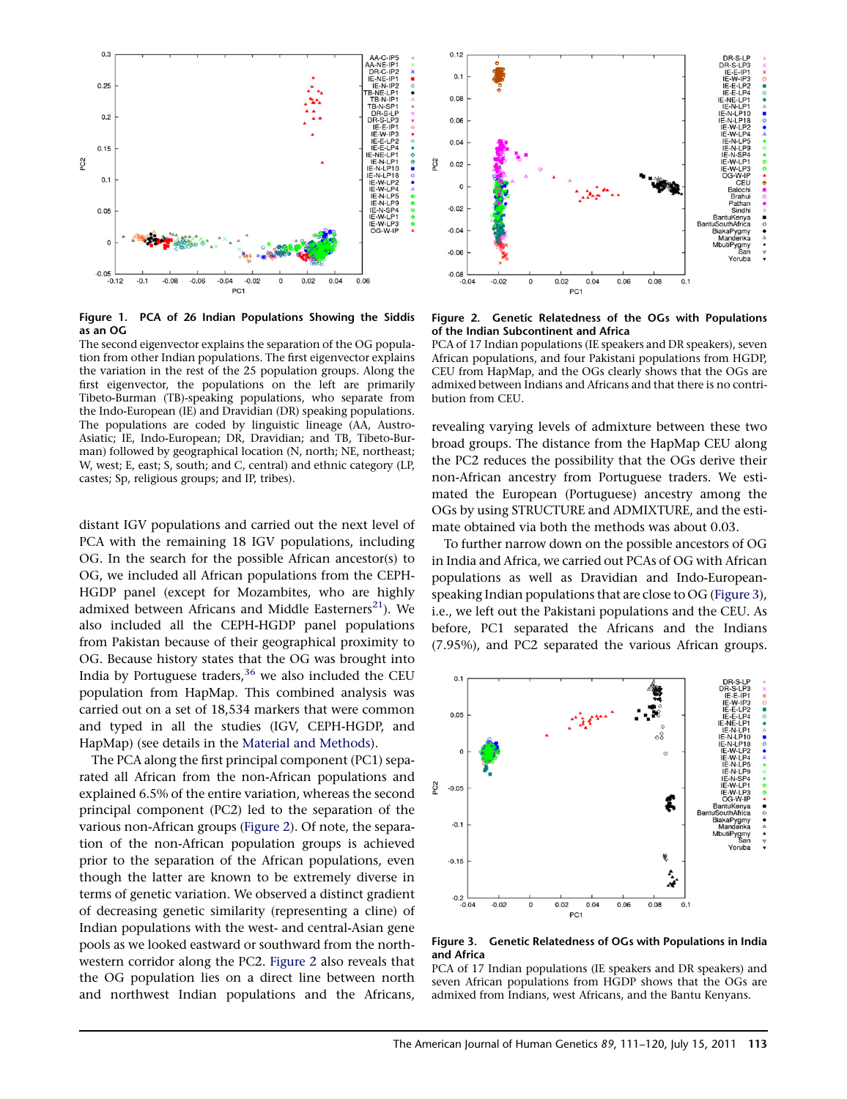

Figure 1. PCA of 26 Indian Populations Showing the Siddis as an OG

The second eigenvector explains the separation of the OG population from other Indian populations. The first eigenvector explains the variation in the rest of the 25 population groups. Along the first eigenvector, the populations on the left are primarily Tibeto-Burman (TB)-speaking populations, who separate from the Indo-European (IE) and Dravidian (DR) speaking populations. The populations are coded by linguistic lineage (AA, Austro-Asiatic; IE, Indo-European; DR, Dravidian; and TB, Tibeto-Burman) followed by geographical location (N, north; NE, northeast; W, west; E, east; S, south; and C, central) and ethnic category (LP, castes; Sp, religious groups; and IP, tribes).

distant IGV populations and carried out the next level of PCA with the remaining 18 IGV populations, including OG. In the search for the possible African ancestor(s) to OG, we included all African populations from the CEPH-HGDP panel (except for Mozambites, who are highly admixed between Africans and Middle Easterners<sup>21</sup>). We also included all the CEPH-HGDP panel populations from Pakistan because of their geographical proximity to OG. Because history states that the OG was brought into India by Portuguese traders, $36$  we also included the CEU population from HapMap. This combined analysis was carried out on a set of 18,534 markers that were common and typed in all the studies (IGV, CEPH-HGDP, and HapMap) (see details in the Material and Methods).

The PCA along the first principal component (PC1) separated all African from the non-African populations and explained 6.5% of the entire variation, whereas the second principal component (PC2) led to the separation of the various non-African groups (Figure 2). Of note, the separation of the non-African population groups is achieved prior to the separation of the African populations, even though the latter are known to be extremely diverse in terms of genetic variation. We observed a distinct gradient of decreasing genetic similarity (representing a cline) of Indian populations with the west- and central-Asian gene pools as we looked eastward or southward from the northwestern corridor along the PC2. Figure 2 also reveals that the OG population lies on a direct line between north and northwest Indian populations and the Africans,



Figure 2. Genetic Relatedness of the OGs with Populations of the Indian Subcontinent and Africa

PCA of 17 Indian populations (IE speakers and DR speakers), seven African populations, and four Pakistani populations from HGDP, CEU from HapMap, and the OGs clearly shows that the OGs are admixed between Indians and Africans and that there is no contribution from CEU.

revealing varying levels of admixture between these two broad groups. The distance from the HapMap CEU along the PC2 reduces the possibility that the OGs derive their non-African ancestry from Portuguese traders. We estimated the European (Portuguese) ancestry among the OGs by using STRUCTURE and ADMIXTURE, and the estimate obtained via both the methods was about 0.03.

To further narrow down on the possible ancestors of OG in India and Africa, we carried out PCAs of OG with African populations as well as Dravidian and Indo-Europeanspeaking Indian populations that are close to OG (Figure 3), i.e., we left out the Pakistani populations and the CEU. As before, PC1 separated the Africans and the Indians (7.95%), and PC2 separated the various African groups.



Figure 3. Genetic Relatedness of OGs with Populations in India and Africa

PCA of 17 Indian populations (IE speakers and DR speakers) and seven African populations from HGDP shows that the OGs are admixed from Indians, west Africans, and the Bantu Kenyans.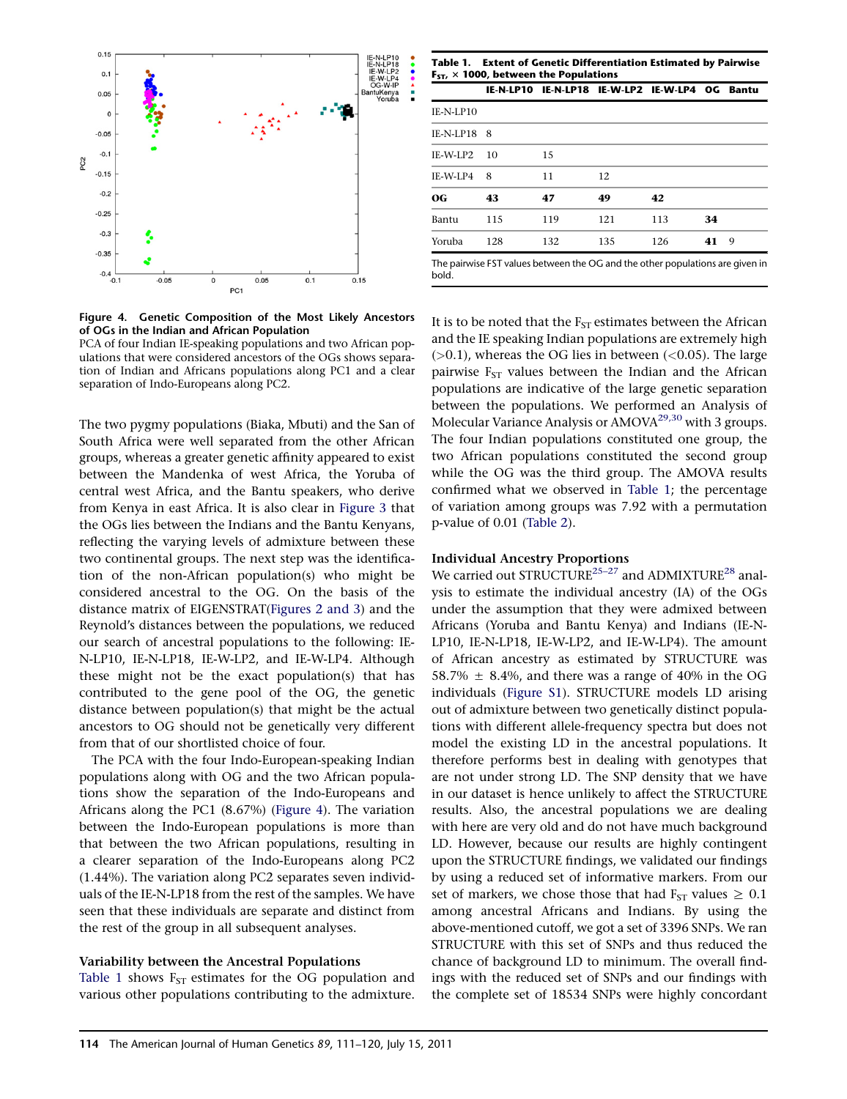

Figure 4. Genetic Composition of the Most Likely Ancestors of OGs in the Indian and African Population

PCA of four Indian IE-speaking populations and two African populations that were considered ancestors of the OGs shows separation of Indian and Africans populations along PC1 and a clear separation of Indo-Europeans along PC2.

The two pygmy populations (Biaka, Mbuti) and the San of South Africa were well separated from the other African groups, whereas a greater genetic affinity appeared to exist between the Mandenka of west Africa, the Yoruba of central west Africa, and the Bantu speakers, who derive from Kenya in east Africa. It is also clear in Figure 3 that the OGs lies between the Indians and the Bantu Kenyans, reflecting the varying levels of admixture between these two continental groups. The next step was the identification of the non-African population(s) who might be considered ancestral to the OG. On the basis of the distance matrix of EIGENSTRAT(Figures 2 and 3) and the Reynold's distances between the populations, we reduced our search of ancestral populations to the following: IE-N-LP10, IE-N-LP18, IE-W-LP2, and IE-W-LP4. Although these might not be the exact population(s) that has contributed to the gene pool of the OG, the genetic distance between population(s) that might be the actual ancestors to OG should not be genetically very different from that of our shortlisted choice of four.

The PCA with the four Indo-European-speaking Indian populations along with OG and the two African populations show the separation of the Indo-Europeans and Africans along the PC1 (8.67%) (Figure 4). The variation between the Indo-European populations is more than that between the two African populations, resulting in a clearer separation of the Indo-Europeans along PC2 (1.44%). The variation along PC2 separates seven individuals of the IE-N-LP18 from the rest of the samples. We have seen that these individuals are separate and distinct from the rest of the group in all subsequent analyses.

#### Variability between the Ancestral Populations

Table 1 shows  $F_{ST}$  estimates for the OG population and various other populations contributing to the admixture.

| Table 1. Extent of Genetic Differentiation Estimated by Pairwise |
|------------------------------------------------------------------|
| $F_{ST}$ , $\times$ 1000, between the Populations                |

|               |                                                                               | IE-N-LP10 IE-N-LP18 IE-W-LP2 IE-W-LP4 OG Bantu |     |     |    |     |
|---------------|-------------------------------------------------------------------------------|------------------------------------------------|-----|-----|----|-----|
| IE-N-LP10     |                                                                               |                                                |     |     |    |     |
| $IE-N-LP18$ 8 |                                                                               |                                                |     |     |    |     |
| IE-W-LP2      | 10                                                                            | 15                                             |     |     |    |     |
| IE-W-LP4      | 8                                                                             | 11                                             | 12  |     |    |     |
| OG-           | 43                                                                            | 47                                             | 49  | 42  |    |     |
| Bantu         | 115                                                                           | 119                                            | 121 | 113 | 34 |     |
| Yoruba        | 128                                                                           | 132                                            | 135 | 126 | 41 | - 9 |
| bold.         | The pairwise FST values between the OG and the other populations are given in |                                                |     |     |    |     |

It is to be noted that the  $F_{ST}$  estimates between the African and the IE speaking Indian populations are extremely high  $(>0.1)$ , whereas the OG lies in between  $(<0.05)$ . The large pairwise  $F_{ST}$  values between the Indian and the African populations are indicative of the large genetic separation between the populations. We performed an Analysis of Molecular Variance Analysis or AMOVA<sup>29,30</sup> with 3 groups. The four Indian populations constituted one group, the two African populations constituted the second group while the OG was the third group. The AMOVA results confirmed what we observed in Table 1; the percentage of variation among groups was 7.92 with a permutation p-value of 0.01 (Table 2).

### Individual Ancestry Proportions

We carried out STRUCTURE<sup>25-27</sup> and ADMIXTURE<sup>28</sup> analysis to estimate the individual ancestry (IA) of the OGs under the assumption that they were admixed between Africans (Yoruba and Bantu Kenya) and Indians (IE-N-LP10, IE-N-LP18, IE-W-LP2, and IE-W-LP4). The amount of African ancestry as estimated by STRUCTURE was 58.7%  $\pm$  8.4%, and there was a range of 40% in the OG individuals (Figure S1). STRUCTURE models LD arising out of admixture between two genetically distinct populations with different allele-frequency spectra but does not model the existing LD in the ancestral populations. It therefore performs best in dealing with genotypes that are not under strong LD. The SNP density that we have in our dataset is hence unlikely to affect the STRUCTURE results. Also, the ancestral populations we are dealing with here are very old and do not have much background LD. However, because our results are highly contingent upon the STRUCTURE findings, we validated our findings by using a reduced set of informative markers. From our set of markers, we chose those that had  $F_{ST}$  values  $\geq 0.1$ among ancestral Africans and Indians. By using the above-mentioned cutoff, we got a set of 3396 SNPs. We ran STRUCTURE with this set of SNPs and thus reduced the chance of background LD to minimum. The overall findings with the reduced set of SNPs and our findings with the complete set of 18534 SNPs were highly concordant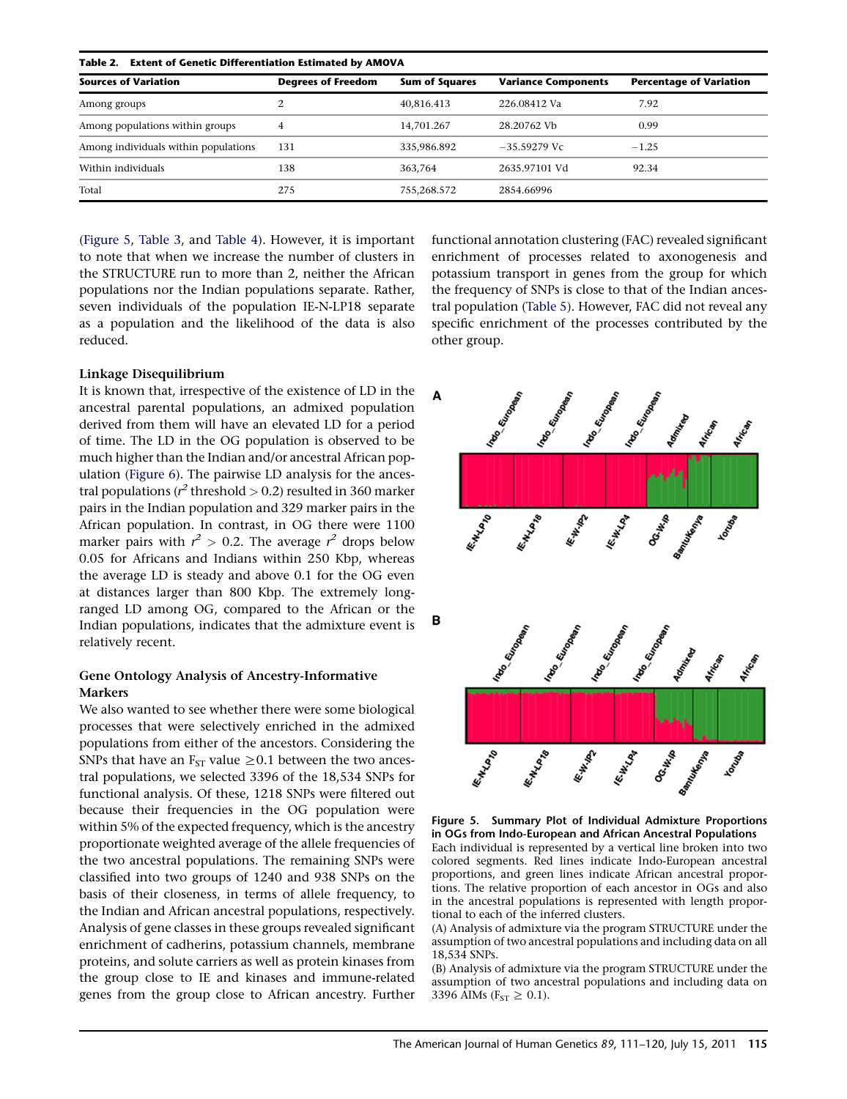| <b>Sources of Variation</b>          | <b>Degrees of Freedom</b> | <b>Sum of Squares</b> | <b>Variance Components</b> | <b>Percentage of Variation</b> |  |
|--------------------------------------|---------------------------|-----------------------|----------------------------|--------------------------------|--|
| Among groups                         | 2                         | 40,816.413            | 226.08412 Va               | 7.92                           |  |
| Among populations within groups      | 4                         | 14.701.267            | 28.20762 Vb                | 0.99                           |  |
| Among individuals within populations | 131                       | 335,986.892           | $-35.59279$ Vc             | $-1.25$                        |  |
| Within individuals                   | 138                       | 363.764               | 2635.97101 Vd              | 92.34                          |  |
| Total                                | 275                       | 755,268.572           | 2854.66996                 |                                |  |

(Figure 5, Table 3, and Table 4). However, it is important to note that when we increase the number of clusters in the STRUCTURE run to more than 2, neither the African populations nor the Indian populations separate. Rather, seven individuals of the population IE-N-LP18 separate as a population and the likelihood of the data is also reduced.

#### Linkage Disequilibrium

It is known that, irrespective of the existence of LD in the ancestral parental populations, an admixed population derived from them will have an elevated LD for a period of time. The LD in the OG population is observed to be much higher than the Indian and/or ancestral African population (Figure 6). The pairwise LD analysis for the ancestral populations ( $r^2$  threshold  $>$  0.2) resulted in 360 marker pairs in the Indian population and 329 marker pairs in the African population. In contrast, in OG there were 1100 marker pairs with  $r^2 > 0.2$ . The average  $r^2$  drops below 0.05 for Africans and Indians within 250 Kbp, whereas the average LD is steady and above 0.1 for the OG even at distances larger than 800 Kbp. The extremely longranged LD among OG, compared to the African or the Indian populations, indicates that the admixture event is relatively recent.

# Gene Ontology Analysis of Ancestry-Informative **Markers**

We also wanted to see whether there were some biological processes that were selectively enriched in the admixed populations from either of the ancestors. Considering the SNPs that have an  $F_{ST}$  value  $\geq$  0.1 between the two ancestral populations, we selected 3396 of the 18,534 SNPs for functional analysis. Of these, 1218 SNPs were filtered out because their frequencies in the OG population were within 5% of the expected frequency, which is the ancestry proportionate weighted average of the allele frequencies of the two ancestral populations. The remaining SNPs were classified into two groups of 1240 and 938 SNPs on the basis of their closeness, in terms of allele frequency, to the Indian and African ancestral populations, respectively. Analysis of gene classes in these groups revealed significant enrichment of cadherins, potassium channels, membrane proteins, and solute carriers as well as protein kinases from the group close to IE and kinases and immune-related genes from the group close to African ancestry. Further

functional annotation clustering (FAC) revealed significant enrichment of processes related to axonogenesis and potassium transport in genes from the group for which the frequency of SNPs is close to that of the Indian ancestral population (Table 5). However, FAC did not reveal any specific enrichment of the processes contributed by the other group.



Figure 5. Summary Plot of Individual Admixture Proportions in OGs from Indo-European and African Ancestral Populations Each individual is represented by a vertical line broken into two colored segments. Red lines indicate Indo-European ancestral proportions, and green lines indicate African ancestral proportions. The relative proportion of each ancestor in OGs and also in the ancestral populations is represented with length proportional to each of the inferred clusters.

(A) Analysis of admixture via the program STRUCTURE under the assumption of two ancestral populations and including data on all 18,534 SNPs.

(B) Analysis of admixture via the program STRUCTURE under the assumption of two ancestral populations and including data on 3396 AIMs ( $F_{ST} \ge 0.1$ ).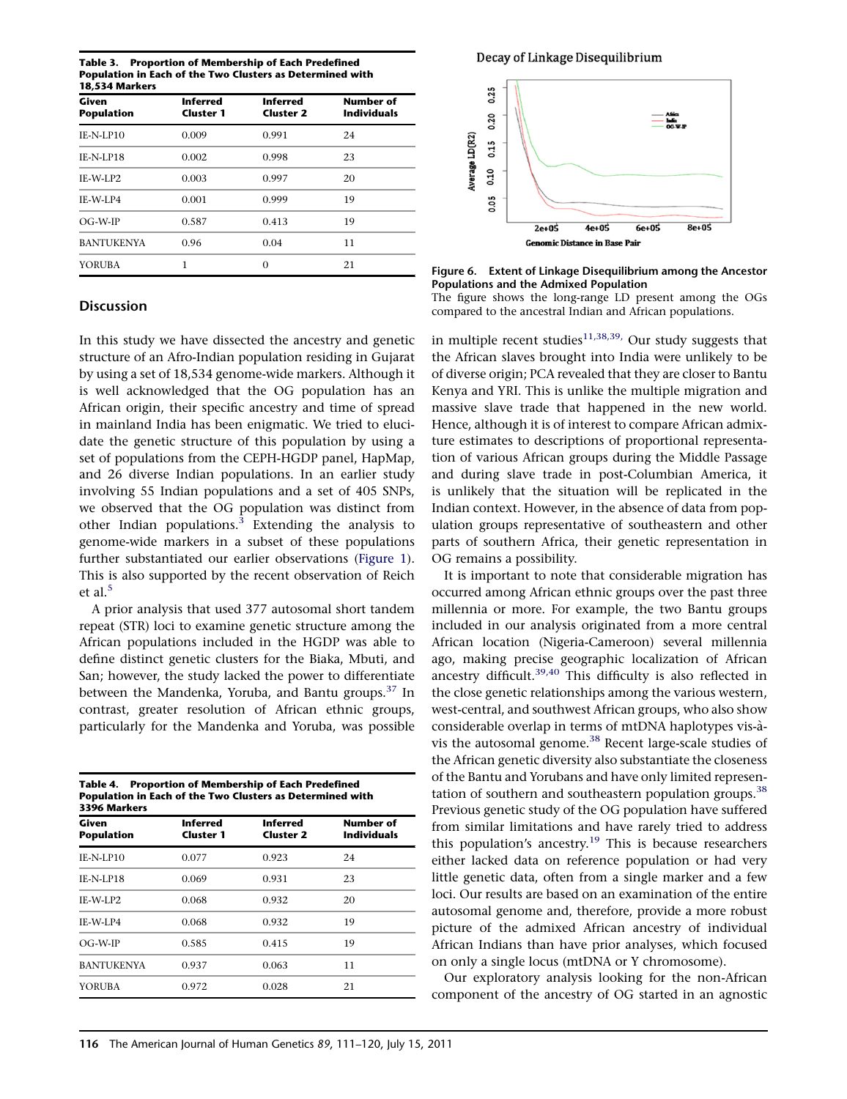Table 3. Proportion of Membership of Each Predefined Population in Each of the Two Clusters as Determined with 18,534 Markers

| Given<br><b>Population</b> | <b>Inferred</b><br><b>Cluster 1</b> | <b>Inferred</b><br><b>Cluster 2</b> | <b>Number of</b><br><b>Individuals</b> |  |  |
|----------------------------|-------------------------------------|-------------------------------------|----------------------------------------|--|--|
| $IE-N-LP10$                | 0.009                               | 0.991                               | 24                                     |  |  |
| IE-N-LP18                  | 0.002                               | 0.998                               | 23                                     |  |  |
| IE-W-LP2                   | 0.003                               | 0.997                               | 20                                     |  |  |
| IE-W-LP4                   | 0.001                               | 0.999                               | 19                                     |  |  |
| $OG-W-IP$                  | 0.587                               | 0.413                               | 19                                     |  |  |
| <b>BANTUKENYA</b>          | 0.96                                | 0.04                                | 11                                     |  |  |
| <b>YORUBA</b>              | 1                                   | $\Omega$                            | 21                                     |  |  |

### **Discussion**

In this study we have dissected the ancestry and genetic structure of an Afro-Indian population residing in Gujarat by using a set of 18,534 genome-wide markers. Although it is well acknowledged that the OG population has an African origin, their specific ancestry and time of spread in mainland India has been enigmatic. We tried to elucidate the genetic structure of this population by using a set of populations from the CEPH-HGDP panel, HapMap, and 26 diverse Indian populations. In an earlier study involving 55 Indian populations and a set of 405 SNPs, we observed that the OG population was distinct from other Indian populations.<sup>3</sup> Extending the analysis to genome-wide markers in a subset of these populations further substantiated our earlier observations (Figure 1). This is also supported by the recent observation of Reich et al.<sup>5</sup>

A prior analysis that used 377 autosomal short tandem repeat (STR) loci to examine genetic structure among the African populations included in the HGDP was able to define distinct genetic clusters for the Biaka, Mbuti, and San; however, the study lacked the power to differentiate between the Mandenka, Yoruba, and Bantu groups.<sup>37</sup> In contrast, greater resolution of African ethnic groups, particularly for the Mandenka and Yoruba, was possible

| Proportion of Membership of Each Predefined<br>Table 4.<br>Population in Each of the Two Clusters as Determined with<br>3396 Markers |                                     |                                     |                                 |  |  |  |  |
|--------------------------------------------------------------------------------------------------------------------------------------|-------------------------------------|-------------------------------------|---------------------------------|--|--|--|--|
| Given<br><b>Population</b>                                                                                                           | <b>Inferred</b><br><b>Cluster 1</b> | <b>Inferred</b><br><b>Cluster 2</b> | Number of<br><b>Individuals</b> |  |  |  |  |
| <b>IE-N-LP10</b>                                                                                                                     | 0.077                               | 0.923                               | 24                              |  |  |  |  |
| <b>IE-N-LP18</b>                                                                                                                     | 0.069                               | 0.931                               | 23                              |  |  |  |  |
| IE-W-LP2                                                                                                                             | 0.068                               | 0.932                               | 20                              |  |  |  |  |
| IE-W-LP4                                                                                                                             | 0.068                               | 0.932                               | 19                              |  |  |  |  |
| $OG-W-IP$                                                                                                                            | 0.585                               | 0.415                               | 19                              |  |  |  |  |
| <b>BANTUKENYA</b><br>0.937                                                                                                           |                                     | 0.063                               | 11                              |  |  |  |  |
| YORUBA                                                                                                                               | 0.972                               | 0.028                               | 21                              |  |  |  |  |

Decay of Linkage Disequilibrium



Figure 6. Extent of Linkage Disequilibrium among the Ancestor Populations and the Admixed Population

The figure shows the long-range LD present among the OGs compared to the ancestral Indian and African populations.

in multiple recent studies $11,38,39$ , Our study suggests that the African slaves brought into India were unlikely to be of diverse origin; PCA revealed that they are closer to Bantu Kenya and YRI. This is unlike the multiple migration and massive slave trade that happened in the new world. Hence, although it is of interest to compare African admixture estimates to descriptions of proportional representation of various African groups during the Middle Passage and during slave trade in post-Columbian America, it is unlikely that the situation will be replicated in the Indian context. However, in the absence of data from population groups representative of southeastern and other parts of southern Africa, their genetic representation in OG remains a possibility.

It is important to note that considerable migration has occurred among African ethnic groups over the past three millennia or more. For example, the two Bantu groups included in our analysis originated from a more central African location (Nigeria-Cameroon) several millennia ago, making precise geographic localization of African ancestry difficult.<sup>39,40</sup> This difficulty is also reflected in the close genetic relationships among the various western, west-central, and southwest African groups, who also show considerable overlap in terms of mtDNA haplotypes vis-a` vis the autosomal genome.<sup>38</sup> Recent large-scale studies of the African genetic diversity also substantiate the closeness of the Bantu and Yorubans and have only limited representation of southern and southeastern population groups.<sup>38</sup> Previous genetic study of the OG population have suffered from similar limitations and have rarely tried to address this population's ancestry.<sup>19</sup> This is because researchers either lacked data on reference population or had very little genetic data, often from a single marker and a few loci. Our results are based on an examination of the entire autosomal genome and, therefore, provide a more robust picture of the admixed African ancestry of individual African Indians than have prior analyses, which focused on only a single locus (mtDNA or Y chromosome).

Our exploratory analysis looking for the non-African component of the ancestry of OG started in an agnostic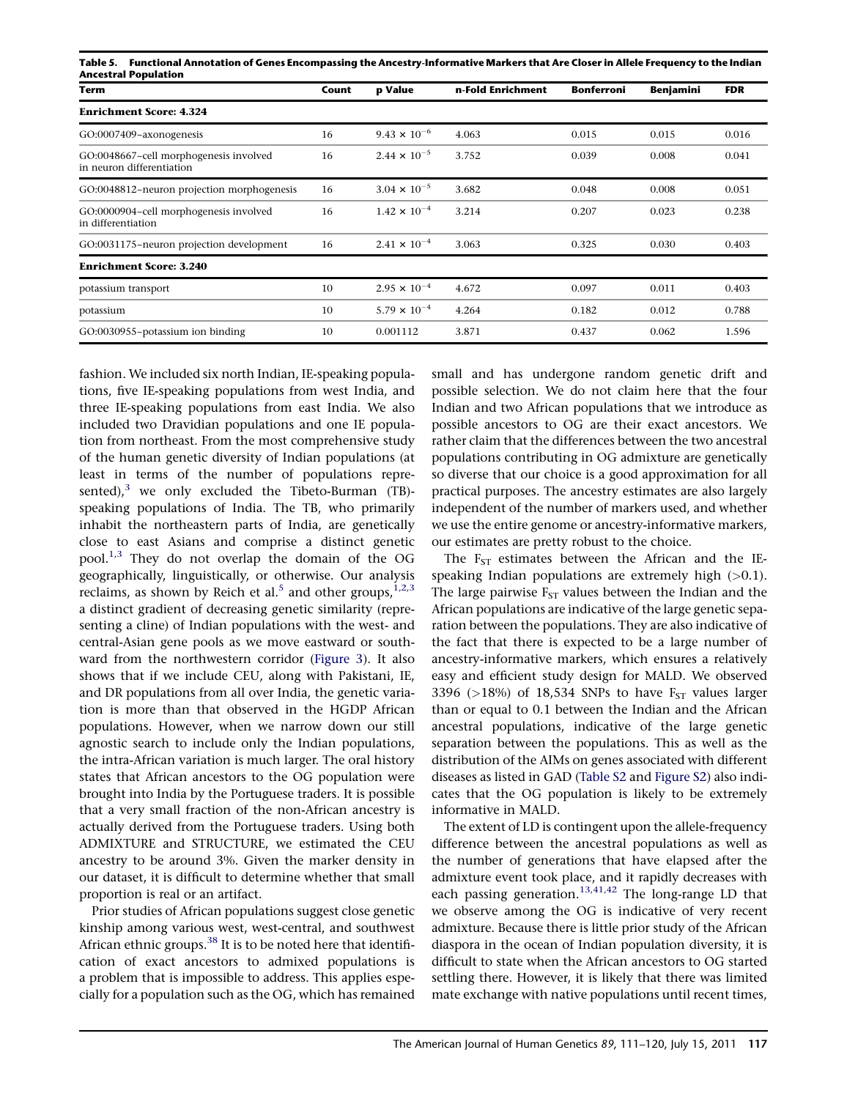| Table 5. Functional Annotation of Genes Encompassing the Ancestry-Informative Markers that Are Closer in Allele Frequency to the Indian<br><b>Ancestral Population</b> |       |         |                   |            |           |            |  |
|------------------------------------------------------------------------------------------------------------------------------------------------------------------------|-------|---------|-------------------|------------|-----------|------------|--|
| Term                                                                                                                                                                   | Count | n Value | n-Fold Enrichment | Bonferroni | Beniamini | <b>FDR</b> |  |
| <b>Enrichment Score: 4.324</b>                                                                                                                                         |       |         |                   |            |           |            |  |

| <b>Enrichment Score: 4.324</b>                                      |    |                       |       |       |       |       |
|---------------------------------------------------------------------|----|-----------------------|-------|-------|-------|-------|
| GO:0007409~axonogenesis                                             | 16 | $9.43 \times 10^{-6}$ | 4.063 | 0.015 | 0.015 | 0.016 |
| GO:0048667~cell morphogenesis involved<br>in neuron differentiation | 16 | $2.44 \times 10^{-5}$ | 3.752 | 0.039 | 0.008 | 0.041 |
| GO:0048812~neuron projection morphogenesis                          | 16 | $3.04 \times 10^{-5}$ | 3.682 | 0.048 | 0.008 | 0.051 |
| GO:0000904~cell morphogenesis involved<br>in differentiation        | 16 | $1.42 \times 10^{-4}$ | 3.214 | 0.207 | 0.023 | 0.238 |
| GO:0031175~neuron projection development                            | 16 | $2.41 \times 10^{-4}$ | 3.063 | 0.325 | 0.030 | 0.403 |
| <b>Enrichment Score: 3.240</b>                                      |    |                       |       |       |       |       |
| potassium transport                                                 | 10 | $2.95 \times 10^{-4}$ | 4.672 | 0.097 | 0.011 | 0.403 |
| potassium                                                           | 10 | $5.79 \times 10^{-4}$ | 4.264 | 0.182 | 0.012 | 0.788 |
| GO:0030955~potassium ion binding                                    | 10 | 0.001112              | 3.871 | 0.437 | 0.062 | 1.596 |

fashion. We included six north Indian, IE-speaking populations, five IE-speaking populations from west India, and three IE-speaking populations from east India. We also included two Dravidian populations and one IE population from northeast. From the most comprehensive study of the human genetic diversity of Indian populations (at least in terms of the number of populations represented), $3$  we only excluded the Tibeto-Burman (TB)speaking populations of India. The TB, who primarily inhabit the northeastern parts of India, are genetically close to east Asians and comprise a distinct genetic pool.<sup>1,3</sup> They do not overlap the domain of the OG geographically, linguistically, or otherwise. Our analysis reclaims, as shown by Reich et al.<sup>5</sup> and other groups,  $^{1,2,3}$ a distinct gradient of decreasing genetic similarity (representing a cline) of Indian populations with the west- and central-Asian gene pools as we move eastward or southward from the northwestern corridor (Figure 3). It also shows that if we include CEU, along with Pakistani, IE, and DR populations from all over India, the genetic variation is more than that observed in the HGDP African populations. However, when we narrow down our still agnostic search to include only the Indian populations, the intra-African variation is much larger. The oral history states that African ancestors to the OG population were brought into India by the Portuguese traders. It is possible that a very small fraction of the non-African ancestry is actually derived from the Portuguese traders. Using both ADMIXTURE and STRUCTURE, we estimated the CEU ancestry to be around 3%. Given the marker density in our dataset, it is difficult to determine whether that small proportion is real or an artifact.

Prior studies of African populations suggest close genetic kinship among various west, west-central, and southwest African ethnic groups.<sup>38</sup> It is to be noted here that identification of exact ancestors to admixed populations is a problem that is impossible to address. This applies especially for a population such as the OG, which has remained

small and has undergone random genetic drift and possible selection. We do not claim here that the four Indian and two African populations that we introduce as possible ancestors to OG are their exact ancestors. We rather claim that the differences between the two ancestral populations contributing in OG admixture are genetically so diverse that our choice is a good approximation for all practical purposes. The ancestry estimates are also largely independent of the number of markers used, and whether we use the entire genome or ancestry-informative markers, our estimates are pretty robust to the choice.

The  $F_{ST}$  estimates between the African and the IEspeaking Indian populations are extremely high  $(>0.1)$ . The large pairwise  $F_{ST}$  values between the Indian and the African populations are indicative of the large genetic separation between the populations. They are also indicative of the fact that there is expected to be a large number of ancestry-informative markers, which ensures a relatively easy and efficient study design for MALD. We observed 3396 ( $>18\%$ ) of 18,534 SNPs to have F<sub>ST</sub> values larger than or equal to 0.1 between the Indian and the African ancestral populations, indicative of the large genetic separation between the populations. This as well as the distribution of the AIMs on genes associated with different diseases as listed in GAD (Table S2 and Figure S2) also indicates that the OG population is likely to be extremely informative in MALD.

The extent of LD is contingent upon the allele-frequency difference between the ancestral populations as well as the number of generations that have elapsed after the admixture event took place, and it rapidly decreases with each passing generation. $13,41,42$  The long-range LD that we observe among the OG is indicative of very recent admixture. Because there is little prior study of the African diaspora in the ocean of Indian population diversity, it is difficult to state when the African ancestors to OG started settling there. However, it is likely that there was limited mate exchange with native populations until recent times,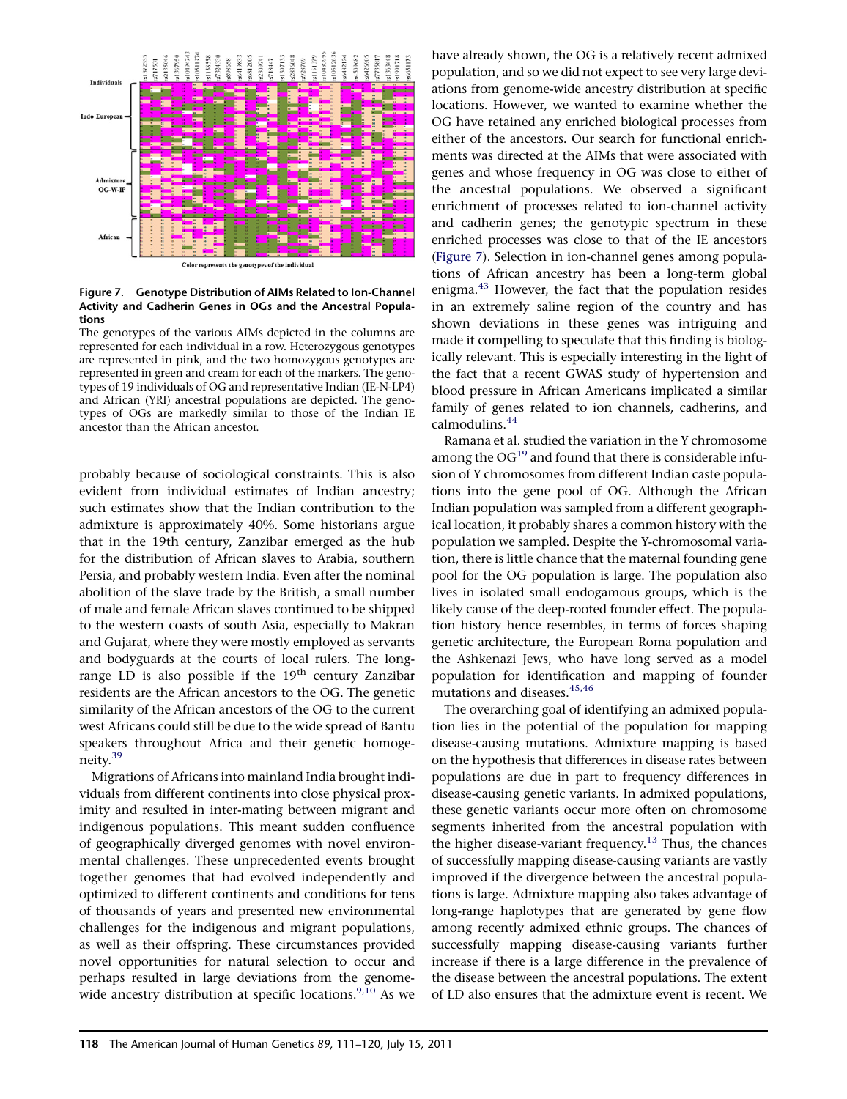

Figure 7. Genotype Distribution of AIMs Related to Ion-Channel Activity and Cadherin Genes in OGs and the Ancestral Populations

The genotypes of the various AIMs depicted in the columns are represented for each individual in a row. Heterozygous genotypes are represented in pink, and the two homozygous genotypes are represented in green and cream for each of the markers. The genotypes of 19 individuals of OG and representative Indian (IE-N-LP4) and African (YRI) ancestral populations are depicted. The genotypes of OGs are markedly similar to those of the Indian IE ancestor than the African ancestor.

probably because of sociological constraints. This is also evident from individual estimates of Indian ancestry; such estimates show that the Indian contribution to the admixture is approximately 40%. Some historians argue that in the 19th century, Zanzibar emerged as the hub for the distribution of African slaves to Arabia, southern Persia, and probably western India. Even after the nominal abolition of the slave trade by the British, a small number of male and female African slaves continued to be shipped to the western coasts of south Asia, especially to Makran and Gujarat, where they were mostly employed as servants and bodyguards at the courts of local rulers. The longrange LD is also possible if the  $19<sup>th</sup>$  century Zanzibar residents are the African ancestors to the OG. The genetic similarity of the African ancestors of the OG to the current west Africans could still be due to the wide spread of Bantu speakers throughout Africa and their genetic homogeneity.<sup>39</sup>

Migrations of Africans into mainland India brought individuals from different continents into close physical proximity and resulted in inter-mating between migrant and indigenous populations. This meant sudden confluence of geographically diverged genomes with novel environmental challenges. These unprecedented events brought together genomes that had evolved independently and optimized to different continents and conditions for tens of thousands of years and presented new environmental challenges for the indigenous and migrant populations, as well as their offspring. These circumstances provided novel opportunities for natural selection to occur and perhaps resulted in large deviations from the genomewide ancestry distribution at specific locations.<sup>9,10</sup> As we

have already shown, the OG is a relatively recent admixed population, and so we did not expect to see very large deviations from genome-wide ancestry distribution at specific locations. However, we wanted to examine whether the OG have retained any enriched biological processes from either of the ancestors. Our search for functional enrichments was directed at the AIMs that were associated with genes and whose frequency in OG was close to either of the ancestral populations. We observed a significant enrichment of processes related to ion-channel activity and cadherin genes; the genotypic spectrum in these enriched processes was close to that of the IE ancestors (Figure 7). Selection in ion-channel genes among populations of African ancestry has been a long-term global enigma.<sup>43</sup> However, the fact that the population resides in an extremely saline region of the country and has shown deviations in these genes was intriguing and made it compelling to speculate that this finding is biologically relevant. This is especially interesting in the light of the fact that a recent GWAS study of hypertension and blood pressure in African Americans implicated a similar family of genes related to ion channels, cadherins, and calmodulins.<sup>44</sup>

Ramana et al. studied the variation in the Y chromosome among the  $OG^{19}$  and found that there is considerable infusion of Y chromosomes from different Indian caste populations into the gene pool of OG. Although the African Indian population was sampled from a different geographical location, it probably shares a common history with the population we sampled. Despite the Y-chromosomal variation, there is little chance that the maternal founding gene pool for the OG population is large. The population also lives in isolated small endogamous groups, which is the likely cause of the deep-rooted founder effect. The population history hence resembles, in terms of forces shaping genetic architecture, the European Roma population and the Ashkenazi Jews, who have long served as a model population for identification and mapping of founder mutations and diseases.45,46

The overarching goal of identifying an admixed population lies in the potential of the population for mapping disease-causing mutations. Admixture mapping is based on the hypothesis that differences in disease rates between populations are due in part to frequency differences in disease-causing genetic variants. In admixed populations, these genetic variants occur more often on chromosome segments inherited from the ancestral population with the higher disease-variant frequency.<sup>13</sup> Thus, the chances of successfully mapping disease-causing variants are vastly improved if the divergence between the ancestral populations is large. Admixture mapping also takes advantage of long-range haplotypes that are generated by gene flow among recently admixed ethnic groups. The chances of successfully mapping disease-causing variants further increase if there is a large difference in the prevalence of the disease between the ancestral populations. The extent of LD also ensures that the admixture event is recent. We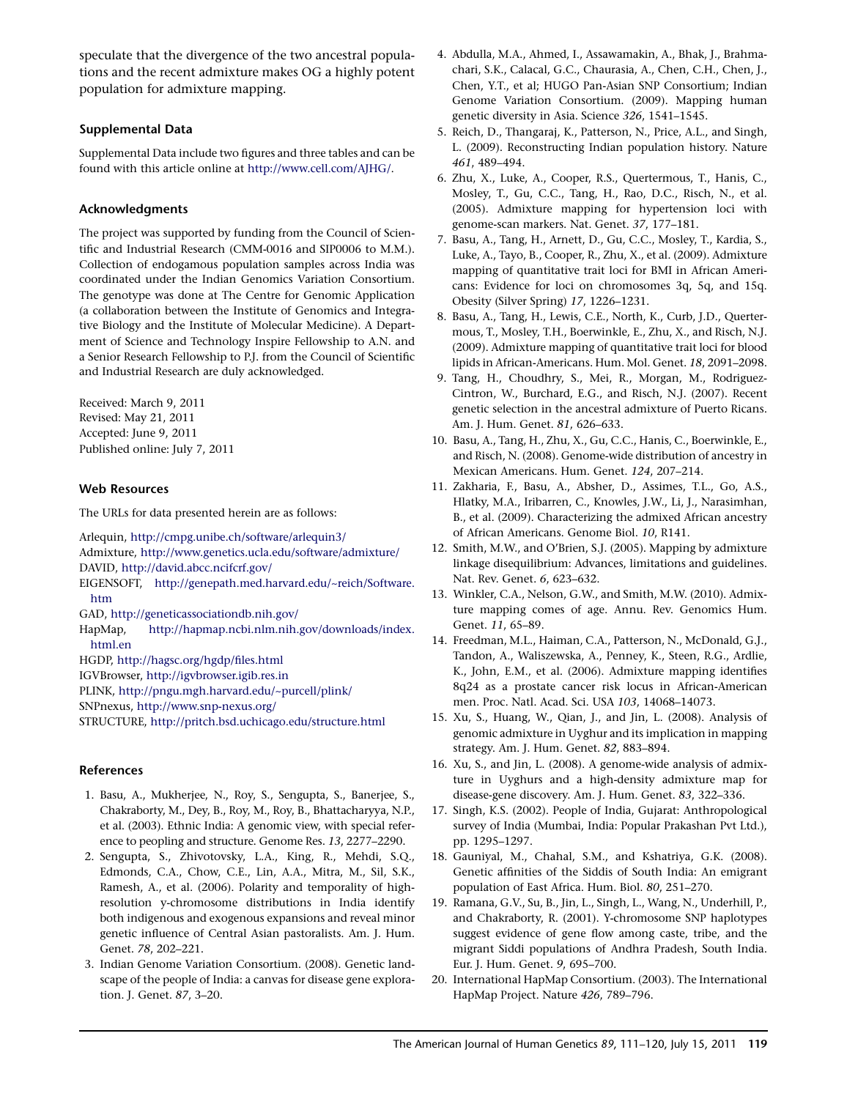speculate that the divergence of the two ancestral populations and the recent admixture makes OG a highly potent population for admixture mapping.

# Supplemental Data

Supplemental Data include two figures and three tables and can be found with this article online at http://www.cell.com/AJHG/.

### Acknowledgments

The project was supported by funding from the Council of Scientific and Industrial Research (CMM-0016 and SIP0006 to M.M.). Collection of endogamous population samples across India was coordinated under the Indian Genomics Variation Consortium. The genotype was done at The Centre for Genomic Application (a collaboration between the Institute of Genomics and Integrative Biology and the Institute of Molecular Medicine). A Department of Science and Technology Inspire Fellowship to A.N. and a Senior Research Fellowship to P.J. from the Council of Scientific and Industrial Research are duly acknowledged.

Received: March 9, 2011 Revised: May 21, 2011 Accepted: June 9, 2011 Published online: July 7, 2011

# Web Resources

The URLs for data presented herein are as follows:

Arlequin, http://cmpg.unibe.ch/software/arlequin3/ Admixture, http://www.genetics.ucla.edu/software/admixture/ DAVID, http://david.abcc.ncifcrf.gov/ EIGENSOFT, http://genepath.med.harvard.edu/~reich/Software. htm GAD, http://geneticassociationdb.nih.gov/ HapMap, http://hapmap.ncbi.nlm.nih.gov/downloads/index. html.en

HGDP, http://hagsc.org/hgdp/files.html

IGVBrowser, http://igvbrowser.igib.res.in

PLINK, http://pngu.mgh.harvard.edu/~purcell/plink/

SNPnexus, http://www.snp-nexus.org/

STRUCTURE, http://pritch.bsd.uchicago.edu/structure.html

# References

- 1. Basu, A., Mukherjee, N., Roy, S., Sengupta, S., Banerjee, S., Chakraborty, M., Dey, B., Roy, M., Roy, B., Bhattacharyya, N.P., et al. (2003). Ethnic India: A genomic view, with special reference to peopling and structure. Genome Res. 13, 2277–2290.
- 2. Sengupta, S., Zhivotovsky, L.A., King, R., Mehdi, S.Q., Edmonds, C.A., Chow, C.E., Lin, A.A., Mitra, M., Sil, S.K., Ramesh, A., et al. (2006). Polarity and temporality of highresolution y-chromosome distributions in India identify both indigenous and exogenous expansions and reveal minor genetic influence of Central Asian pastoralists. Am. J. Hum. Genet. 78, 202–221.
- 3. Indian Genome Variation Consortium. (2008). Genetic landscape of the people of India: a canvas for disease gene exploration. J. Genet. 87, 3–20.
- 4. Abdulla, M.A., Ahmed, I., Assawamakin, A., Bhak, J., Brahmachari, S.K., Calacal, G.C., Chaurasia, A., Chen, C.H., Chen, J., Chen, Y.T., et al; HUGO Pan-Asian SNP Consortium; Indian Genome Variation Consortium. (2009). Mapping human genetic diversity in Asia. Science 326, 1541–1545.
- 5. Reich, D., Thangaraj, K., Patterson, N., Price, A.L., and Singh, L. (2009). Reconstructing Indian population history. Nature 461, 489–494.
- 6. Zhu, X., Luke, A., Cooper, R.S., Quertermous, T., Hanis, C., Mosley, T., Gu, C.C., Tang, H., Rao, D.C., Risch, N., et al. (2005). Admixture mapping for hypertension loci with genome-scan markers. Nat. Genet. 37, 177–181.
- 7. Basu, A., Tang, H., Arnett, D., Gu, C.C., Mosley, T., Kardia, S., Luke, A., Tayo, B., Cooper, R., Zhu, X., et al. (2009). Admixture mapping of quantitative trait loci for BMI in African Americans: Evidence for loci on chromosomes 3q, 5q, and 15q. Obesity (Silver Spring) 17, 1226–1231.
- 8. Basu, A., Tang, H., Lewis, C.E., North, K., Curb, J.D., Quertermous, T., Mosley, T.H., Boerwinkle, E., Zhu, X., and Risch, N.J. (2009). Admixture mapping of quantitative trait loci for blood lipids in African-Americans. Hum. Mol. Genet. 18, 2091–2098.
- 9. Tang, H., Choudhry, S., Mei, R., Morgan, M., Rodriguez-Cintron, W., Burchard, E.G., and Risch, N.J. (2007). Recent genetic selection in the ancestral admixture of Puerto Ricans. Am. J. Hum. Genet. 81, 626–633.
- 10. Basu, A., Tang, H., Zhu, X., Gu, C.C., Hanis, C., Boerwinkle, E., and Risch, N. (2008). Genome-wide distribution of ancestry in Mexican Americans. Hum. Genet. 124, 207–214.
- 11. Zakharia, F., Basu, A., Absher, D., Assimes, T.L., Go, A.S., Hlatky, M.A., Iribarren, C., Knowles, J.W., Li, J., Narasimhan, B., et al. (2009). Characterizing the admixed African ancestry of African Americans. Genome Biol. 10, R141.
- 12. Smith, M.W., and O'Brien, S.J. (2005). Mapping by admixture linkage disequilibrium: Advances, limitations and guidelines. Nat. Rev. Genet. 6, 623–632.
- 13. Winkler, C.A., Nelson, G.W., and Smith, M.W. (2010). Admixture mapping comes of age. Annu. Rev. Genomics Hum. Genet. 11, 65–89.
- 14. Freedman, M.L., Haiman, C.A., Patterson, N., McDonald, G.J., Tandon, A., Waliszewska, A., Penney, K., Steen, R.G., Ardlie, K., John, E.M., et al. (2006). Admixture mapping identifies 8q24 as a prostate cancer risk locus in African-American men. Proc. Natl. Acad. Sci. USA 103, 14068–14073.
- 15. Xu, S., Huang, W., Qian, J., and Jin, L. (2008). Analysis of genomic admixture in Uyghur and its implication in mapping strategy. Am. J. Hum. Genet. 82, 883–894.
- 16. Xu, S., and Jin, L. (2008). A genome-wide analysis of admixture in Uyghurs and a high-density admixture map for disease-gene discovery. Am. J. Hum. Genet. 83, 322–336.
- 17. Singh, K.S. (2002). People of India, Gujarat: Anthropological survey of India (Mumbai, India: Popular Prakashan Pvt Ltd.), pp. 1295–1297.
- 18. Gauniyal, M., Chahal, S.M., and Kshatriya, G.K. (2008). Genetic affinities of the Siddis of South India: An emigrant population of East Africa. Hum. Biol. 80, 251–270.
- 19. Ramana, G.V., Su, B., Jin, L., Singh, L., Wang, N., Underhill, P., and Chakraborty, R. (2001). Y-chromosome SNP haplotypes suggest evidence of gene flow among caste, tribe, and the migrant Siddi populations of Andhra Pradesh, South India. Eur. J. Hum. Genet. 9, 695–700.
- 20. International HapMap Consortium. (2003). The International HapMap Project. Nature 426, 789–796.